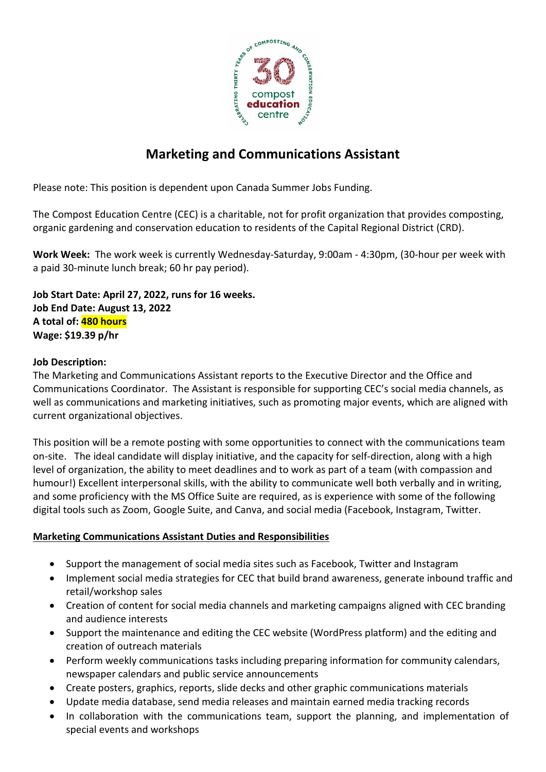

# **Marketing and Communications Assistant**

Please note: This position is dependent upon Canada Summer Jobs Funding.

The Compost Education Centre (CEC) is a charitable, not for profit organization that provides composting, organic gardening and conservation education to residents of the Capital Regional District (CRD).

**Work Week:** The work week is currently Wednesday-Saturday, 9:00am - 4:30pm, (30-hour per week with a paid 30-minute lunch break; 60 hr pay period).

**Job Start Date: April 27, 2022, runs for 16 weeks. Job End Date: August 13, 2022 A total of: 480 hours Wage: \$19.39 p/hr**

#### **Job Description:**

The Marketing and Communications Assistant reports to the Executive Director and the Office and Communications Coordinator. The Assistant is responsible for supporting CEC's social media channels, as well as communications and marketing initiatives, such as promoting major events, which are aligned with current organizational objectives.

This position will be a remote posting with some opportunities to connect with the communications team on-site. The ideal candidate will display initiative, and the capacity for self-direction, along with a high level of organization, the ability to meet deadlines and to work as part of a team (with compassion and humour!) Excellent interpersonal skills, with the ability to communicate well both verbally and in writing, and some proficiency with the MS Office Suite are required, as is experience with some of the following digital tools such as Zoom, Google Suite, and Canva, and social media (Facebook, Instagram, Twitter.

### **Marketing Communications Assistant Duties and Responsibilities**

- Support the management of social media sites such as Facebook, Twitter and Instagram
- Implement social media strategies for CEC that build brand awareness, generate inbound traffic and retail/workshop sales
- Creation of content for social media channels and marketing campaigns aligned with CEC branding and audience interests
- Support the maintenance and editing the CEC website (WordPress platform) and the editing and creation of outreach materials
- Perform weekly communications tasks including preparing information for community calendars, newspaper calendars and public service announcements
- Create posters, graphics, reports, slide decks and other graphic communications materials
- Update media database, send media releases and maintain earned media tracking records
- In collaboration with the communications team, support the planning, and implementation of special events and workshops